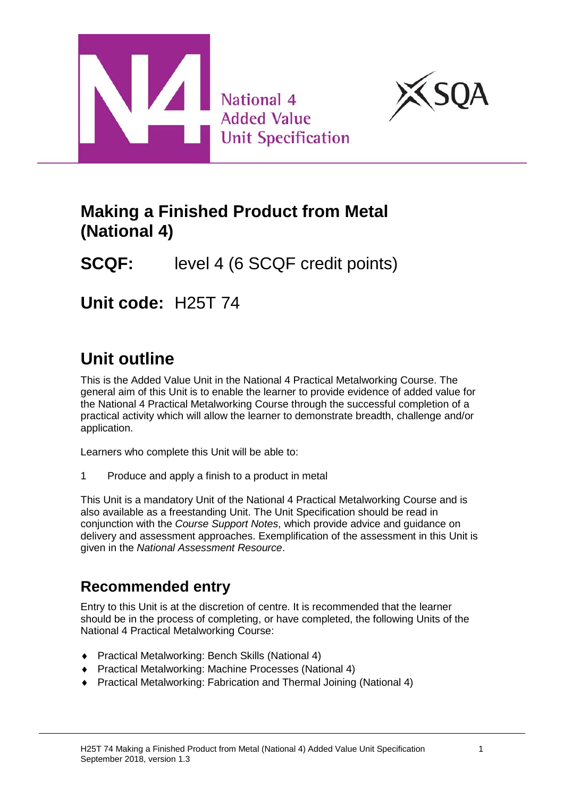



## **Making a Finished Product from Metal (National 4)**

**SCQF:** level 4 (6 SCQF credit points)

**Unit code:** H25T 74

# **Unit outline**

This is the Added Value Unit in the National 4 Practical Metalworking Course. The general aim of this Unit is to enable the learner to provide evidence of added value for the National 4 Practical Metalworking Course through the successful completion of a practical activity which will allow the learner to demonstrate breadth, challenge and/or application.

Learners who complete this Unit will be able to:

1 Produce and apply a finish to a product in metal

This Unit is a mandatory Unit of the National 4 Practical Metalworking Course and is also available as a freestanding Unit. The Unit Specification should be read in conjunction with the *Course Support Notes*, which provide advice and guidance on delivery and assessment approaches. Exemplification of the assessment in this Unit is given in the *National Assessment Resource*.

## **Recommended entry**

Entry to this Unit is at the discretion of centre. It is recommended that the learner should be in the process of completing, or have completed, the following Units of the National 4 Practical Metalworking Course:

- ♦ Practical Metalworking: Bench Skills (National 4)
- ♦ Practical Metalworking: Machine Processes (National 4)
- ♦ Practical Metalworking: Fabrication and Thermal Joining (National 4)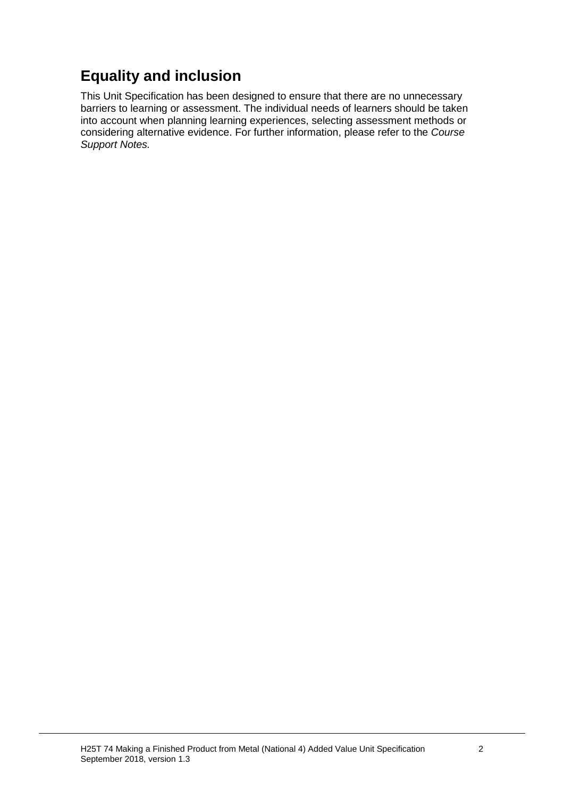## **Equality and inclusion**

This Unit Specification has been designed to ensure that there are no unnecessary barriers to learning or assessment. The individual needs of learners should be taken into account when planning learning experiences, selecting assessment methods or considering alternative evidence. For further information, please refer to the *Course Support Notes.*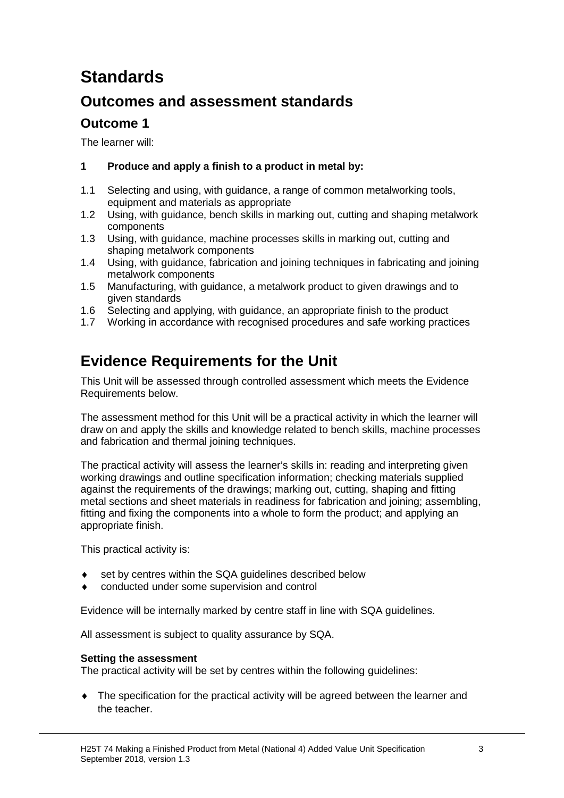# **Standards**

## **Outcomes and assessment standards**

### **Outcome 1**

The learner will:

### **1 Produce and apply a finish to a product in metal by:**

- 1.1 Selecting and using, with guidance, a range of common metalworking tools, equipment and materials as appropriate
- 1.2 Using, with guidance, bench skills in marking out, cutting and shaping metalwork components
- 1.3 Using, with guidance, machine processes skills in marking out, cutting and shaping metalwork components
- 1.4 Using, with guidance, fabrication and joining techniques in fabricating and joining metalwork components
- 1.5 Manufacturing, with guidance, a metalwork product to given drawings and to given standards
- 1.6 Selecting and applying, with guidance, an appropriate finish to the product
- 1.7 Working in accordance with recognised procedures and safe working practices

## **Evidence Requirements for the Unit**

This Unit will be assessed through controlled assessment which meets the Evidence Requirements below.

The assessment method for this Unit will be a practical activity in which the learner will draw on and apply the skills and knowledge related to bench skills, machine processes and fabrication and thermal joining techniques.

The practical activity will assess the learner's skills in: reading and interpreting given working drawings and outline specification information; checking materials supplied against the requirements of the drawings; marking out, cutting, shaping and fitting metal sections and sheet materials in readiness for fabrication and joining; assembling, fitting and fixing the components into a whole to form the product; and applying an appropriate finish.

This practical activity is:

- set by centres within the SQA guidelines described below
- conducted under some supervision and control

Evidence will be internally marked by centre staff in line with SQA guidelines.

All assessment is subject to quality assurance by SQA.

#### **Setting the assessment**

The practical activity will be set by centres within the following guidelines:

♦ The specification for the practical activity will be agreed between the learner and the teacher.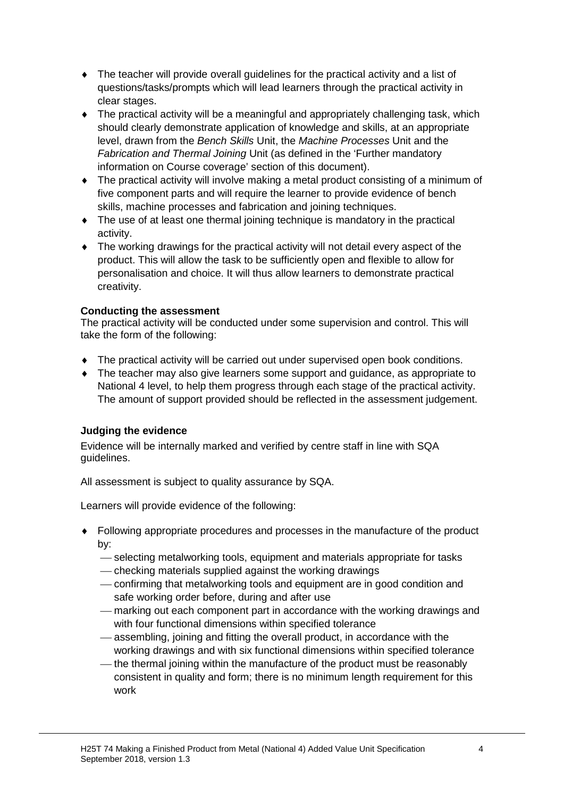- $\bullet$  The teacher will provide overall guidelines for the practical activity and a list of questions/tasks/prompts which will lead learners through the practical activity in clear stages.
- ♦ The practical activity will be a meaningful and appropriately challenging task, which should clearly demonstrate application of knowledge and skills, at an appropriate level, drawn from the *Bench Skills* Unit, the *Machine Processes* Unit and the *Fabrication and Thermal Joining* Unit (as defined in the 'Further mandatory information on Course coverage' section of this document).
- ♦ The practical activity will involve making a metal product consisting of a minimum of five component parts and will require the learner to provide evidence of bench skills, machine processes and fabrication and joining techniques.
- ♦ The use of at least one thermal joining technique is mandatory in the practical activity.
- ♦ The working drawings for the practical activity will not detail every aspect of the product. This will allow the task to be sufficiently open and flexible to allow for personalisation and choice. It will thus allow learners to demonstrate practical creativity.

#### **Conducting the assessment**

The practical activity will be conducted under some supervision and control. This will take the form of the following:

- ♦ The practical activity will be carried out under supervised open book conditions.
- ♦ The teacher may also give learners some support and guidance, as appropriate to National 4 level, to help them progress through each stage of the practical activity. The amount of support provided should be reflected in the assessment judgement.

### **Judging the evidence**

Evidence will be internally marked and verified by centre staff in line with SQA guidelines.

All assessment is subject to quality assurance by SQA.

Learners will provide evidence of the following:

- ♦ Following appropriate procedures and processes in the manufacture of the product by:
	- selecting metalworking tools, equipment and materials appropriate for tasks
	- checking materials supplied against the working drawings
	- confirming that metalworking tools and equipment are in good condition and safe working order before, during and after use
	- marking out each component part in accordance with the working drawings and with four functional dimensions within specified tolerance
	- assembling, joining and fitting the overall product, in accordance with the working drawings and with six functional dimensions within specified tolerance
	- $-$  the thermal joining within the manufacture of the product must be reasonably consistent in quality and form; there is no minimum length requirement for this work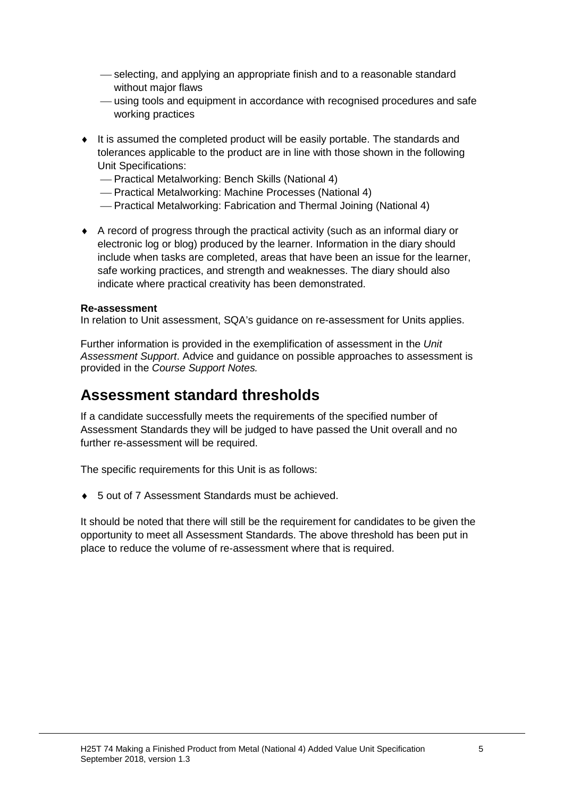- $-$  selecting, and applying an appropriate finish and to a reasonable standard without major flaws
- using tools and equipment in accordance with recognised procedures and safe working practices
- ♦ It is assumed the completed product will be easily portable. The standards and tolerances applicable to the product are in line with those shown in the following Unit Specifications:
	- Practical Metalworking: Bench Skills (National 4)
	- Practical Metalworking: Machine Processes (National 4)
	- Practical Metalworking: Fabrication and Thermal Joining (National 4)
- ♦ A record of progress through the practical activity (such as an informal diary or electronic log or blog) produced by the learner. Information in the diary should include when tasks are completed, areas that have been an issue for the learner, safe working practices, and strength and weaknesses. The diary should also indicate where practical creativity has been demonstrated.

#### **Re-assessment**

In relation to Unit assessment, SQA's guidance on re-assessment for Units applies.

Further information is provided in the exemplification of assessment in the *Unit Assessment Support*. Advice and guidance on possible approaches to assessment is provided in the *Course Support Notes.*

### **Assessment standard thresholds**

If a candidate successfully meets the requirements of the specified number of Assessment Standards they will be judged to have passed the Unit overall and no further re-assessment will be required.

The specific requirements for this Unit is as follows:

♦ 5 out of 7 Assessment Standards must be achieved.

It should be noted that there will still be the requirement for candidates to be given the opportunity to meet all Assessment Standards. The above threshold has been put in place to reduce the volume of re-assessment where that is required.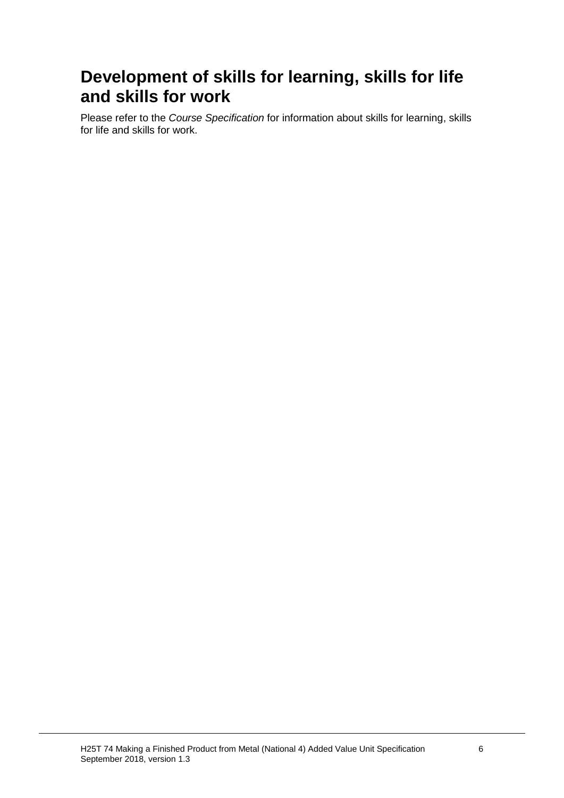# **Development of skills for learning, skills for life and skills for work**

Please refer to the *Course Specification* for information about skills for learning, skills for life and skills for work.

H25T 74 Making a Finished Product from Metal (National 4) Added Value Unit Specification 6 September 2018, version 1.3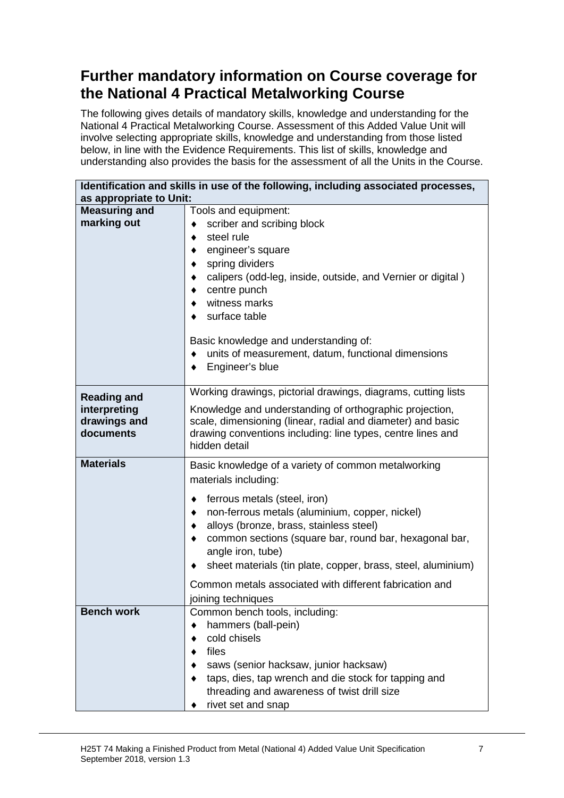## **Further mandatory information on Course coverage for the National 4 Practical Metalworking Course**

The following gives details of mandatory skills, knowledge and understanding for the National 4 Practical Metalworking Course. Assessment of this Added Value Unit will involve selecting appropriate skills, knowledge and understanding from those listed below, in line with the Evidence Requirements. This list of skills, knowledge and understanding also provides the basis for the assessment of all the Units in the Course.

| Identification and skills in use of the following, including associated processes,<br>as appropriate to Unit: |                                                                                                                                                                                                                                                                                                                                                                                                                                               |  |  |  |
|---------------------------------------------------------------------------------------------------------------|-----------------------------------------------------------------------------------------------------------------------------------------------------------------------------------------------------------------------------------------------------------------------------------------------------------------------------------------------------------------------------------------------------------------------------------------------|--|--|--|
| <b>Measuring and</b><br>marking out                                                                           | Tools and equipment:<br>scriber and scribing block<br>٠<br>steel rule<br>engineer's square<br>spring dividers<br>calipers (odd-leg, inside, outside, and Vernier or digital)<br>centre punch<br>witness marks<br>surface table<br>Basic knowledge and understanding of:<br>units of measurement, datum, functional dimensions<br>Engineer's blue                                                                                              |  |  |  |
| <b>Reading and</b><br>interpreting<br>drawings and<br>documents                                               | Working drawings, pictorial drawings, diagrams, cutting lists<br>Knowledge and understanding of orthographic projection,<br>scale, dimensioning (linear, radial and diameter) and basic<br>drawing conventions including: line types, centre lines and<br>hidden detail                                                                                                                                                                       |  |  |  |
| <b>Materials</b>                                                                                              | Basic knowledge of a variety of common metalworking<br>materials including:<br>ferrous metals (steel, iron)<br>٠<br>non-ferrous metals (aluminium, copper, nickel)<br>alloys (bronze, brass, stainless steel)<br>common sections (square bar, round bar, hexagonal bar,<br>angle iron, tube)<br>sheet materials (tin plate, copper, brass, steel, aluminium)<br>Common metals associated with different fabrication and<br>joining techniques |  |  |  |
| <b>Bench work</b>                                                                                             | Common bench tools, including:<br>hammers (ball-pein)<br>cold chisels<br>files<br>saws (senior hacksaw, junior hacksaw)<br>taps, dies, tap wrench and die stock for tapping and<br>threading and awareness of twist drill size<br>rivet set and snap                                                                                                                                                                                          |  |  |  |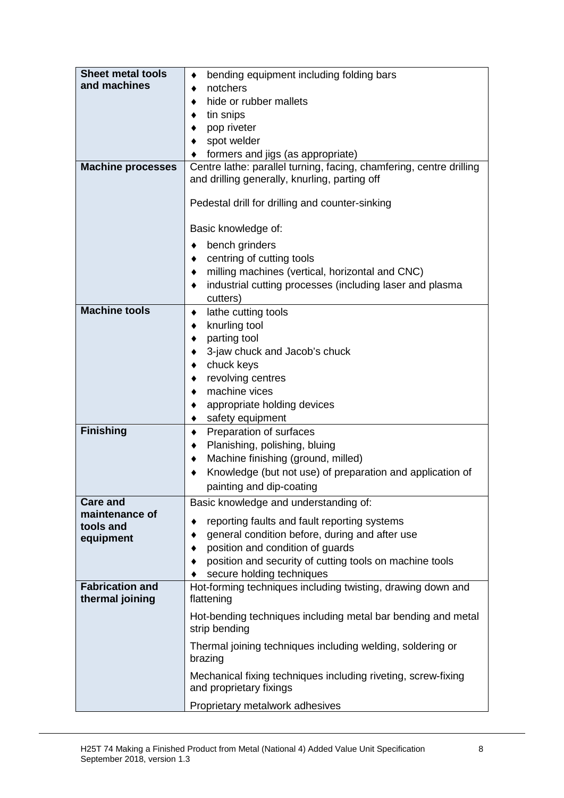| <b>Sheet metal tools</b> | bending equipment including folding bars                                                 |  |  |  |  |
|--------------------------|------------------------------------------------------------------------------------------|--|--|--|--|
| and machines             | notchers                                                                                 |  |  |  |  |
|                          | hide or rubber mallets                                                                   |  |  |  |  |
|                          | tin snips                                                                                |  |  |  |  |
|                          | pop riveter                                                                              |  |  |  |  |
|                          | spot welder                                                                              |  |  |  |  |
|                          | formers and jigs (as appropriate)                                                        |  |  |  |  |
| <b>Machine processes</b> | Centre lathe: parallel turning, facing, chamfering, centre drilling                      |  |  |  |  |
|                          | and drilling generally, knurling, parting off                                            |  |  |  |  |
|                          | Pedestal drill for drilling and counter-sinking                                          |  |  |  |  |
|                          | Basic knowledge of:                                                                      |  |  |  |  |
|                          | bench grinders<br>٠                                                                      |  |  |  |  |
|                          | centring of cutting tools<br>٠                                                           |  |  |  |  |
|                          | milling machines (vertical, horizontal and CNC)                                          |  |  |  |  |
|                          | industrial cutting processes (including laser and plasma<br>٠                            |  |  |  |  |
|                          | cutters)                                                                                 |  |  |  |  |
| <b>Machine tools</b>     | lathe cutting tools<br>٠                                                                 |  |  |  |  |
|                          | knurling tool<br>٠                                                                       |  |  |  |  |
|                          | parting tool                                                                             |  |  |  |  |
|                          | 3-jaw chuck and Jacob's chuck                                                            |  |  |  |  |
|                          | chuck keys                                                                               |  |  |  |  |
|                          | revolving centres<br>machine vices                                                       |  |  |  |  |
|                          |                                                                                          |  |  |  |  |
|                          | appropriate holding devices<br>safety equipment                                          |  |  |  |  |
| <b>Finishing</b>         | Preparation of surfaces<br>٠                                                             |  |  |  |  |
|                          | Planishing, polishing, bluing<br>٠                                                       |  |  |  |  |
|                          | Machine finishing (ground, milled)<br>٠                                                  |  |  |  |  |
|                          | Knowledge (but not use) of preparation and application of                                |  |  |  |  |
|                          | painting and dip-coating                                                                 |  |  |  |  |
| <b>Care and</b>          | Basic knowledge and understanding of:                                                    |  |  |  |  |
| maintenance of           |                                                                                          |  |  |  |  |
| tools and                | reporting faults and fault reporting systems                                             |  |  |  |  |
| equipment                | general condition before, during and after use                                           |  |  |  |  |
|                          | position and condition of guards                                                         |  |  |  |  |
|                          | position and security of cutting tools on machine tools                                  |  |  |  |  |
| <b>Fabrication and</b>   | secure holding techniques<br>Hot-forming techniques including twisting, drawing down and |  |  |  |  |
| thermal joining          | flattening                                                                               |  |  |  |  |
|                          | Hot-bending techniques including metal bar bending and metal                             |  |  |  |  |
|                          | strip bending                                                                            |  |  |  |  |
|                          | Thermal joining techniques including welding, soldering or<br>brazing                    |  |  |  |  |
|                          | Mechanical fixing techniques including riveting, screw-fixing<br>and proprietary fixings |  |  |  |  |
|                          | Proprietary metalwork adhesives                                                          |  |  |  |  |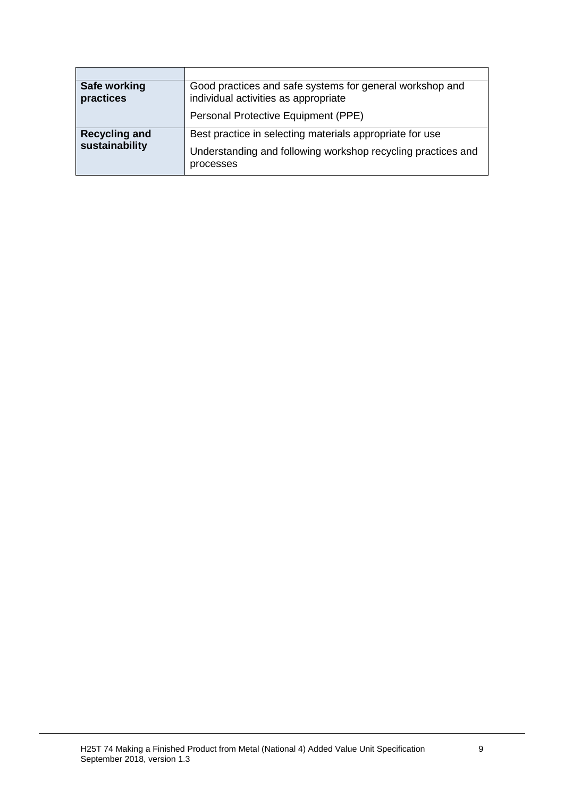| Safe working<br>practices              | Good practices and safe systems for general workshop and<br>individual activities as appropriate                                      |
|----------------------------------------|---------------------------------------------------------------------------------------------------------------------------------------|
|                                        | Personal Protective Equipment (PPE)                                                                                                   |
| <b>Recycling and</b><br>sustainability | Best practice in selecting materials appropriate for use<br>Understanding and following workshop recycling practices and<br>processes |

ł.